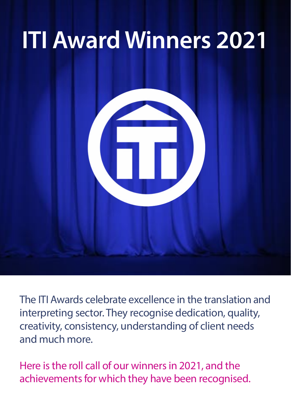# **ITI Award Winners 2021**



The ITI Awards celebrate excellence in the translation and interpreting sector. They recognise dedication, quality, creativity, consistency, understanding of client needs and much more.

Here is the roll call of our winners in 2021, and the achievements for which they have been recognised.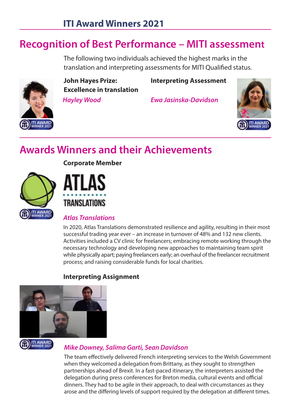# **Recognition of Best Performance – MITI assessment**

 The following two individuals achieved the highest marks in the translation and interpreting assessments for MITI Qualified status.



 **Hayley Wood Ewa Jasinska-Davidson John Hayes Prize: Interpreting Assessment Excellence in translation**



# **Awards Winners and their Achievements**

 **Corporate Member** 





## **TILAWARD**<br>Atlas Translations

 In 2020, Atlas Translations demonstrated resilience and agility, resulting in their most successful trading year ever – an increase in turnover of 48% and 132 new clients. Activities included a CV clinic for freelancers; embracing remote working through the necessary technology and developing new approaches to maintaining team spirit while physically apart; paying freelancers early; an overhaul of the freelancer recruitment process; and raising considerable funds for local charities.



### **Interpreting Assignment**

#### **Mike Downey, Salima Garti, Sean Davidson**

 The team effectively delivered French interpreting services to the Welsh Government when they welcomed a delegation from Brittany, as they sought to strengthen partnerships ahead of Brexit. In a fast-paced itinerary, the interpreters assisted the delegation during press conferences for Breton media, cultural events and official dinners. They had to be agile in their approach, to deal with circumstances as they arose and the differing levels of support required by the delegation at different times.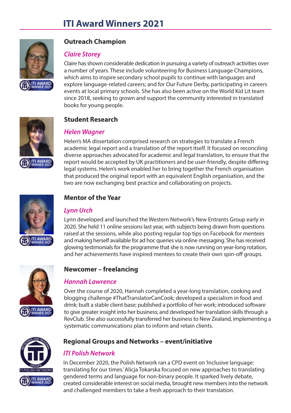

#### **Outreach Champion**

#### **Claire Storey**

 Claire has shown considerable dedication in pursuing a variety of outreach activities over a number of years. These include volunteering for Business Language Champions, which aims to inspire secondary school pupils to continue with languages and explore language-related careers; and for Our Future Derby, participating in careers events at local primary schools. She has also been active on the World Kid Lit team since 2018, seeking to grown and support the community interested in translated books for young people.



#### **Student Research**

#### **Helen Wagner**

 Helen's MA dissertation comprised research on strategies to translate a French academic legal report and a translation of the report itself. It focused on reconciling diverse approaches advocated for academic and legal translation, to ensure that the report would be accepted by UK practitioners and be user-friendly, despite differing legal systems. Helen's work enabled her to bring together the French organisation that produced the original report with an equivalent English organisation, and the two are now exchanging best practice and collaborating on projects.



#### **Mentor of the Year**

#### **Lynn Urch**

 Lynn developed and launched the Western Network's New Entrants Group early in 2020. She held 11 online sessions last year, with subjects being drawn from questions raised at the sessions, while also posting regular top tips on Facebook for mentees and making herself available for ad hoc queries via online messaging. She has received glowing testimonials for the programme that she is now running on year-long rotation, and her achievements have inspired mentees to create their own spin-off groups.



#### **Newcomer – freelancing**

#### **Hannah Lawrence**

 Over the course of 2020, Hannah completed a year-long translation, cooking and blogging challenge #ThatTranslatorCanCook; developed a specialism in food and drink; built a stable client base; published a portfolio of her work; introduced software to give greater insight into her business; and developed her translation skills through a RevClub. She also successfully transferred her business to New Zealand, implementing a systematic communications plan to inform and retain clients.



#### **Regional Groups and Networks – event/initiative**

#### **ITI Polish Network**

 In December 2020, the Polish Network ran a CPD event on 'Inclusive language: translating for our times.' Alicja Tokarska focused on new approaches to translating ITI AWARD gendered terms and language for non-binary people. It sparked lively debate,<br>WINNER 2021 created considerable interest on social media brought new members into the ne created considerable interest on social media, brought new members into the network and challenged members to take a fresh approach to their translation.